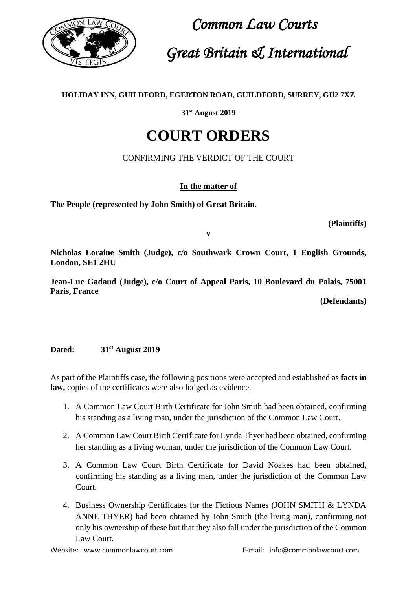

**31st August 2019**

### **COURT ORDERS**

#### CONFIRMING THE VERDICT OF THE COURT

#### **In the matter of**

**The People (represented by John Smith) of Great Britain.**

**(Plaintiffs)**

**v** 

**Nicholas Loraine Smith (Judge), c/o Southwark Crown Court, 1 English Grounds, London, SE1 2HU**

**Jean-Luc Gadaud (Judge), c/o Court of Appeal Paris, 10 Boulevard du Palais, 75001 Paris, France**

**(Defendants)**

#### **Dated: 31st August 2019**

As part of the Plaintiffs case, the following positions were accepted and established as **facts in**  law, copies of the certificates were also lodged as evidence.

- 1. A Common Law Court Birth Certificate for John Smith had been obtained, confirming his standing as a living man, under the jurisdiction of the Common Law Court.
- 2. A Common Law Court Birth Certificate for Lynda Thyer had been obtained, confirming her standing as a living woman, under the jurisdiction of the Common Law Court.
- 3. A Common Law Court Birth Certificate for David Noakes had been obtained, confirming his standing as a living man, under the jurisdiction of the Common Law Court.
- 4. Business Ownership Certificates for the Fictious Names (JOHN SMITH & LYNDA ANNE THYER) had been obtained by John Smith (the living man), confirming not only his ownership of these but that they also fall under the jurisdiction of the Common Law Court.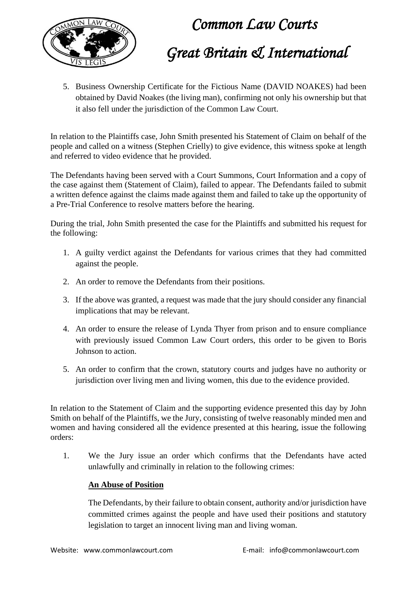

5. Business Ownership Certificate for the Fictious Name (DAVID NOAKES) had been obtained by David Noakes (the living man), confirming not only his ownership but that it also fell under the jurisdiction of the Common Law Court.

In relation to the Plaintiffs case, John Smith presented his Statement of Claim on behalf of the people and called on a witness (Stephen Crielly) to give evidence, this witness spoke at length and referred to video evidence that he provided.

The Defendants having been served with a Court Summons, Court Information and a copy of the case against them (Statement of Claim), failed to appear. The Defendants failed to submit a written defence against the claims made against them and failed to take up the opportunity of a Pre-Trial Conference to resolve matters before the hearing.

During the trial, John Smith presented the case for the Plaintiffs and submitted his request for the following:

- 1. A guilty verdict against the Defendants for various crimes that they had committed against the people.
- 2. An order to remove the Defendants from their positions.
- 3. If the above was granted, a request was made that the jury should consider any financial implications that may be relevant.
- 4. An order to ensure the release of Lynda Thyer from prison and to ensure compliance with previously issued Common Law Court orders, this order to be given to Boris Johnson to action.
- 5. An order to confirm that the crown, statutory courts and judges have no authority or jurisdiction over living men and living women, this due to the evidence provided.

In relation to the Statement of Claim and the supporting evidence presented this day by John Smith on behalf of the Plaintiffs, we the Jury, consisting of twelve reasonably minded men and women and having considered all the evidence presented at this hearing, issue the following orders:

1. We the Jury issue an order which confirms that the Defendants have acted unlawfully and criminally in relation to the following crimes:

#### **An Abuse of Position**

The Defendants, by their failure to obtain consent, authority and/or jurisdiction have committed crimes against the people and have used their positions and statutory legislation to target an innocent living man and living woman.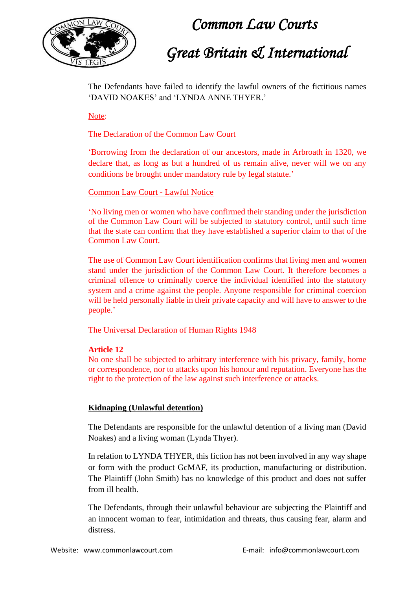

 *Common Law Courts*

### *Great Britain & International*

The Defendants have failed to identify the lawful owners of the fictitious names 'DAVID NOAKES' and 'LYNDA ANNE THYER.'

Note:

The Declaration of the Common Law Court

'Borrowing from the declaration of our ancestors, made in Arbroath in 1320, we declare that, as long as but a hundred of us remain alive, never will we on any conditions be brought under mandatory rule by legal statute.'

Common Law Court - Lawful Notice

'No living men or women who have confirmed their standing under the jurisdiction of the Common Law Court will be subjected to statutory control, until such time that the state can confirm that they have established a superior claim to that of the Common Law Court.

The use of Common Law Court identification confirms that living men and women stand under the jurisdiction of the Common Law Court. It therefore becomes a criminal offence to criminally coerce the individual identified into the statutory system and a crime against the people. Anyone responsible for criminal coercion will be held personally liable in their private capacity and will have to answer to the people.'

The Universal Declaration of Human Rights 1948

#### **Article 12**

No one shall be subjected to arbitrary interference with his privacy, family, home or correspondence, nor to attacks upon his honour and reputation. Everyone has the right to the protection of the law against such interference or attacks.

#### **Kidnaping (Unlawful detention)**

The Defendants are responsible for the unlawful detention of a living man (David Noakes) and a living woman (Lynda Thyer).

In relation to LYNDA THYER, this fiction has not been involved in any way shape or form with the product GcMAF, its production, manufacturing or distribution. The Plaintiff (John Smith) has no knowledge of this product and does not suffer from ill health.

The Defendants, through their unlawful behaviour are subjecting the Plaintiff and an innocent woman to fear, intimidation and threats, thus causing fear, alarm and distress.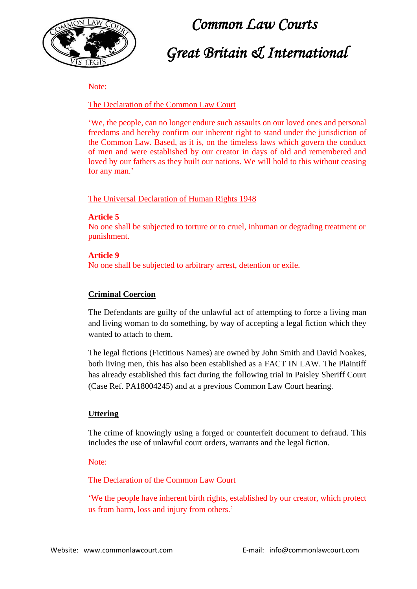

#### Note:

#### The Declaration of the Common Law Court

'We, the people, can no longer endure such assaults on our loved ones and personal freedoms and hereby confirm our inherent right to stand under the jurisdiction of the Common Law. Based, as it is, on the timeless laws which govern the conduct of men and were established by our creator in days of old and remembered and loved by our fathers as they built our nations. We will hold to this without ceasing for any man.'

#### The Universal Declaration of Human Rights 1948

#### **Article 5**

No one shall be subjected to torture or to cruel, inhuman or degrading treatment or punishment.

#### **Article 9**

No one shall be subjected to arbitrary arrest, detention or exile.

#### **Criminal Coercion**

The Defendants are guilty of the unlawful act of attempting to force a living man and living woman to do something, by way of accepting a legal fiction which they wanted to attach to them.

The legal fictions (Fictitious Names) are owned by John Smith and David Noakes, both living men, this has also been established as a FACT IN LAW. The Plaintiff has already established this fact during the following trial in Paisley Sheriff Court (Case Ref. PA18004245) and at a previous Common Law Court hearing.

#### **Uttering**

The crime of knowingly using a forged or counterfeit document to defraud. This includes the use of unlawful court orders, warrants and the legal fiction.

#### Note:

#### The Declaration of the Common Law Court

'We the people have inherent birth rights, established by our creator, which protect us from harm, loss and injury from others.'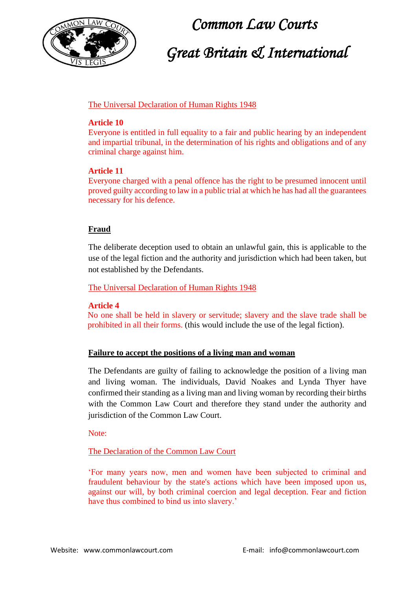

#### The Universal Declaration of Human Rights 1948

#### **Article 10**

Everyone is entitled in full equality to a fair and public hearing by an independent and impartial tribunal, in the determination of his rights and obligations and of any criminal charge against him.

#### **Article 11**

Everyone charged with a penal offence has the right to be presumed innocent until proved guilty according to law in a public trial at which he has had all the guarantees necessary for his defence.

#### **Fraud**

The deliberate deception used to obtain an unlawful gain, this is applicable to the use of the legal fiction and the authority and jurisdiction which had been taken, but not established by the Defendants.

The Universal Declaration of Human Rights 1948

#### **Article 4**

No one shall be held in slavery or servitude; slavery and the slave trade shall be prohibited in all their forms. (this would include the use of the legal fiction).

#### **Failure to accept the positions of a living man and woman**

The Defendants are guilty of failing to acknowledge the position of a living man and living woman. The individuals, David Noakes and Lynda Thyer have confirmed their standing as a living man and living woman by recording their births with the Common Law Court and therefore they stand under the authority and jurisdiction of the Common Law Court.

Note:

#### The Declaration of the Common Law Court

'For many years now, men and women have been subjected to criminal and fraudulent behaviour by the state's actions which have been imposed upon us, against our will, by both criminal coercion and legal deception. Fear and fiction have thus combined to bind us into slavery.'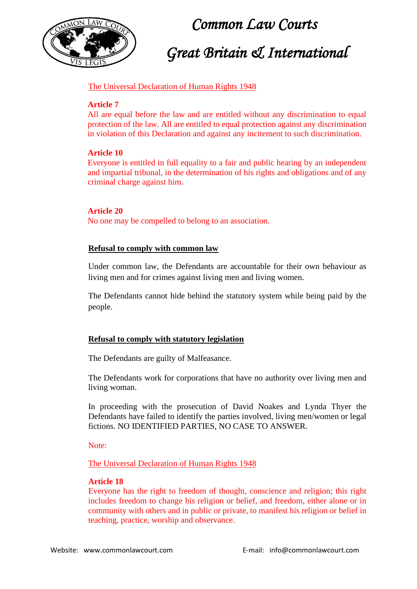

#### The Universal Declaration of Human Rights 1948

#### **Article 7**

All are equal before the law and are entitled without any discrimination to equal protection of the law. All are entitled to equal protection against any discrimination in violation of this Declaration and against any incitement to such discrimination.

#### **Article 10**

Everyone is entitled in full equality to a fair and public hearing by an independent and impartial tribunal, in the determination of his rights and obligations and of any criminal charge against him.

#### **Article 20**

No one may be compelled to belong to an association.

#### **Refusal to comply with common law**

Under common law, the Defendants are accountable for their own behaviour as living men and for crimes against living men and living women.

The Defendants cannot hide behind the statutory system while being paid by the people.

#### **Refusal to comply with statutory legislation**

The Defendants are guilty of Malfeasance.

The Defendants work for corporations that have no authority over living men and living woman.

In proceeding with the prosecution of David Noakes and Lynda Thyer the Defendants have failed to identify the parties involved, living men/women or legal fictions. NO IDENTIFIED PARTIES, NO CASE TO ANSWER.

Note:

The Universal Declaration of Human Rights 1948

#### **Article 18**

Everyone has the right to freedom of thought, conscience and religion; this right includes freedom to change his religion or belief, and freedom, either alone or in community with others and in public or private, to manifest his religion or belief in teaching, practice, worship and observance.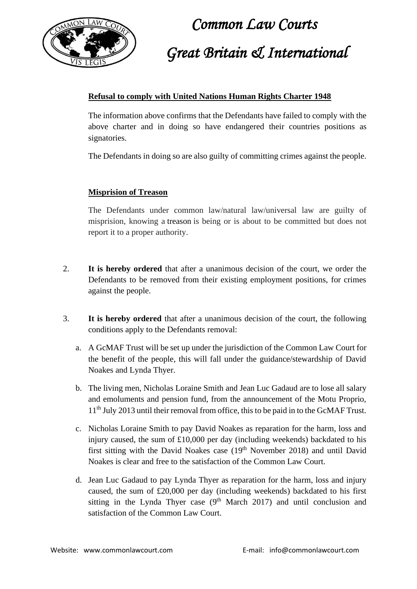

#### **Refusal to comply with United Nations Human Rights Charter 1948**

The information above confirms that the Defendants have failed to comply with the above charter and in doing so have endangered their countries positions as signatories.

The Defendants in doing so are also guilty of committing crimes against the people.

#### **Misprision of Treason**

The Defendants under common law/natural law/universal law are guilty of misprision, knowing a treason is being or is about to be committed but does not report it to a proper authority.

- 2. **It is hereby ordered** that after a unanimous decision of the court, we order the Defendants to be removed from their existing employment positions, for crimes against the people.
- 3. **It is hereby ordered** that after a unanimous decision of the court, the following conditions apply to the Defendants removal:
	- a. A GcMAF Trust will be set up under the jurisdiction of the Common Law Court for the benefit of the people, this will fall under the guidance/stewardship of David Noakes and Lynda Thyer.
	- b. The living men, Nicholas Loraine Smith and Jean Luc Gadaud are to lose all salary and emoluments and pension fund, from the announcement of the Motu Proprio, 11<sup>th</sup> July 2013 until their removal from office, this to be paid in to the GcMAF Trust.
	- c. Nicholas Loraine Smith to pay David Noakes as reparation for the harm, loss and injury caused, the sum of £10,000 per day (including weekends) backdated to his first sitting with the David Noakes case  $(19<sup>th</sup>$  November 2018) and until David Noakes is clear and free to the satisfaction of the Common Law Court.
	- d. Jean Luc Gadaud to pay Lynda Thyer as reparation for the harm, loss and injury caused, the sum of £20,000 per day (including weekends) backdated to his first sitting in the Lynda Thyer case  $(9<sup>th</sup> March 2017)$  and until conclusion and satisfaction of the Common Law Court.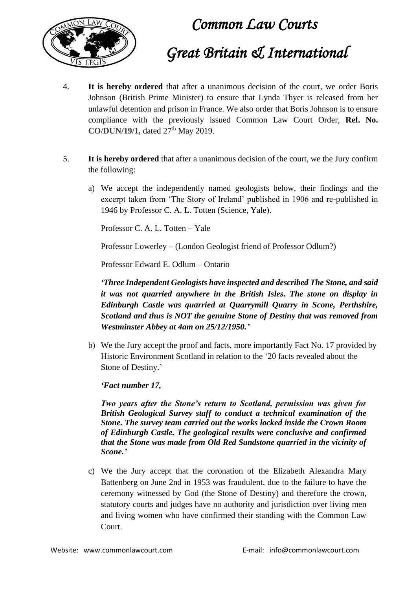

- 4. **It is hereby ordered** that after a unanimous decision of the court, we order Boris Johnson (British Prime Minister) to ensure that Lynda Thyer is released from her unlawful detention and prison in France. We also order that Boris Johnson is to ensure compliance with the previously issued Common Law Court Order, **Ref. No. CO/DUN/19/1, dated 27<sup>th</sup> May 2019.**
- 5. **It is hereby ordered** that after a unanimous decision of the court, we the Jury confirm the following:
	- a) We accept the independently named geologists below, their findings and the excerpt taken from 'The Story of Ireland' published in 1906 and re-published in 1946 by Professor C. A. L. Totten (Science, Yale).

Professor C. A. L. Totten – Yale

Professor Lowerley – (London Geologist friend of Professor Odlum?)

Professor Edward E. Odlum – Ontario

*'Three Independent Geologists have inspected and described The Stone, and said it was not quarried anywhere in the British Isles. The stone on display in Edinburgh Castle was quarried at Quarrymill Quarry in Scone, Perthshire, Scotland and thus is NOT the genuine Stone of Destiny that was removed from Westminster Abbey at 4am on 25/12/1950.'*

b) We the Jury accept the proof and facts, more importantly Fact No. 17 provided by Historic Environment Scotland in relation to the '20 facts revealed about the Stone of Destiny.'

*'Fact number 17,* 

*Two years after the Stone's return to Scotland, permission was given for British Geological Survey staff to conduct a technical examination of the Stone. The survey team carried out the works locked inside the Crown Room of Edinburgh Castle. The geological results were conclusive and confirmed that the Stone was made from Old Red Sandstone quarried in the vicinity of Scone.'*

c) We the Jury accept that the coronation of the Elizabeth Alexandra Mary Battenberg on June 2nd in 1953 was fraudulent, due to the failure to have the ceremony witnessed by God (the Stone of Destiny) and therefore the crown, statutory courts and judges have no authority and jurisdiction over living men and living women who have confirmed their standing with the Common Law Court.